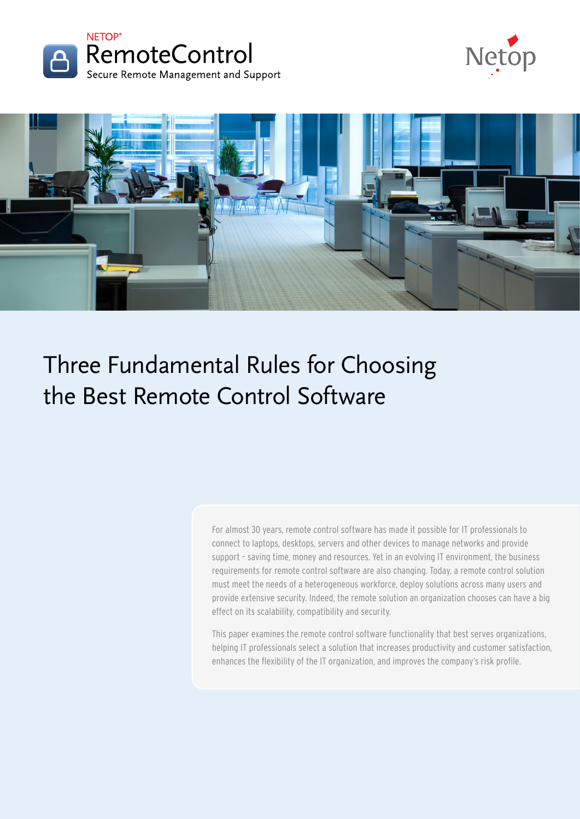





# Three Fundamental Rules for Choosing the Best Remote Control Software

For almost 30 years, remote control software has made it possible for IT professionals to connect to laptops, desktops, servers and other devices to manage networks and provide support – saving time, money and resources. Yet in an evolving IT environment, the business requirements for remote control software are also changing. Today, a remote control solution must meet the needs of a heterogeneous workforce, deploy solutions across many users and provide extensive security. Indeed, the remote solution an organization chooses can have a big effect on its scalability, compatibility and security.

This paper examines the remote control software functionality that best serves organizations, helping IT professionals select a solution that increases productivity and customer satisfaction, enhances the flexibility of the IT organization, and improves the company's risk profile.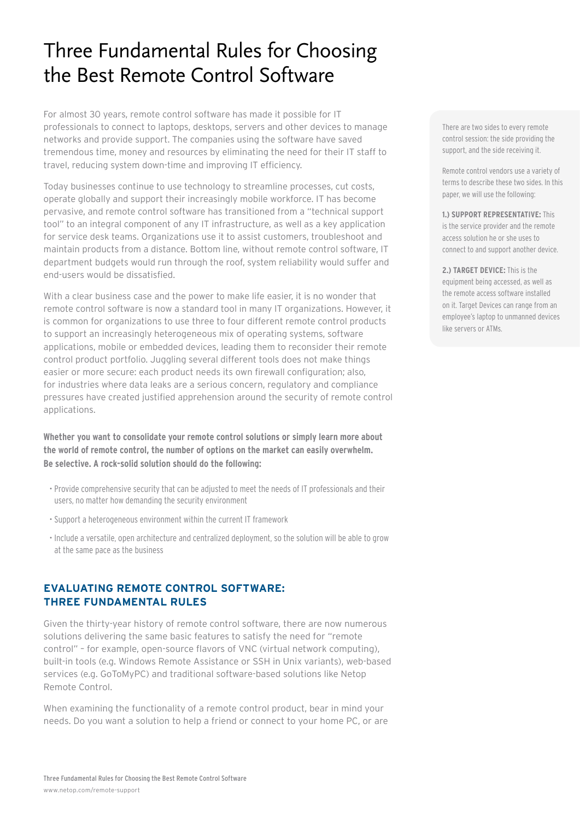# Three Fundamental Rules for Choosing the Best Remote Control Software

For almost 30 years, remote control software has made it possible for IT professionals to connect to laptops, desktops, servers and other devices to manage networks and provide support. The companies using the software have saved tremendous time, money and resources by eliminating the need for their IT staff to travel, reducing system down-time and improving IT efficiency.

Today businesses continue to use technology to streamline processes, cut costs, operate globally and support their increasingly mobile workforce. IT has become pervasive, and remote control software has transitioned from a "technical support tool" to an integral component of any IT infrastructure, as well as a key application for service desk teams. Organizations use it to assist customers, troubleshoot and maintain products from a distance. Bottom line, without remote control software, IT department budgets would run through the roof, system reliability would suffer and end-users would be dissatisfied.

With a clear business case and the power to make life easier, it is no wonder that remote control software is now a standard tool in many IT organizations. However, it is common for organizations to use three to four different remote control products to support an increasingly heterogeneous mix of operating systems, software applications, mobile or embedded devices, leading them to reconsider their remote control product portfolio. Juggling several different tools does not make things easier or more secure: each product needs its own firewall configuration; also, for industries where data leaks are a serious concern, regulatory and compliance pressures have created justified apprehension around the security of remote control applications.

**Whether you want to consolidate your remote control solutions or simply learn more about the world of remote control, the number of options on the market can easily overwhelm. Be selective. A rock-solid solution should do the following:**

- Provide comprehensive security that can be adjusted to meet the needs of IT professionals and their users, no matter how demanding the security environment
- Support a heterogeneous environment within the current IT framework
- Include a versatile, open architecture and centralized deployment, so the solution will be able to grow at the same pace as the business

# **Evaluating Remote Control Software: Three Fundamental Rules**

Given the thirty-year history of remote control software, there are now numerous solutions delivering the same basic features to satisfy the need for "remote control" – for example, open-source flavors of VNC (virtual network computing), built-in tools (e.g. Windows Remote Assistance or SSH in Unix variants), web-based services (e.g. GoToMyPC) and traditional software-based solutions like Netop Remote Control.

When examining the functionality of a remote control product, bear in mind your needs. Do you want a solution to help a friend or connect to your home PC, or are There are two sides to every remote control session: the side providing the support, and the side receiving it.

Remote control vendors use a variety of terms to describe these two sides. In this paper, we will use the following:

#### **1.) Support Representative:** This

is the service provider and the remote access solution he or she uses to connect to and support another device.

#### **2.) Target Device:** This is the

equipment being accessed, as well as the remote access software installed on it. Target Devices can range from an employee's laptop to unmanned devices like servers or ATMs.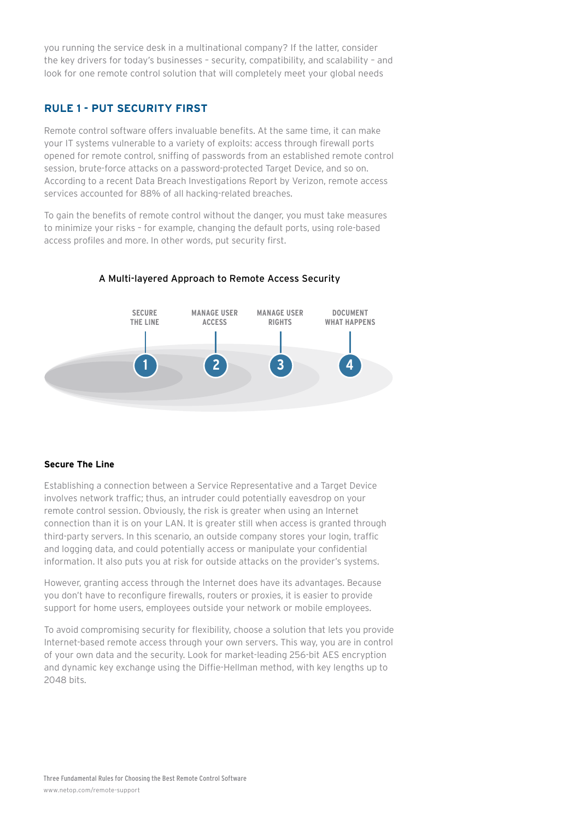you running the service desk in a multinational company? If the latter, consider the key drivers for today's businesses – security, compatibility, and scalability – and look for one remote control solution that will completely meet your global needs

### **Rule 1 - Put Security First**

Remote control software offers invaluable benefits. At the same time, it can make your IT systems vulnerable to a variety of exploits: access through firewall ports opened for remote control, sniffing of passwords from an established remote control session, brute-force attacks on a password-protected Target Device, and so on. According to a recent Data Breach Investigations Report by Verizon, remote access services accounted for 88% of all hacking-related breaches.

To gain the benefits of remote control without the danger, you must take measures to minimize your risks – for example, changing the default ports, using role-based access profiles and more. In other words, put security first.



#### A Multi-layered Approach to Remote Access Security

#### **Secure The Line**

Establishing a connection between a Service Representative and a Target Device involves network traffic; thus, an intruder could potentially eavesdrop on your remote control session. Obviously, the risk is greater when using an Internet connection than it is on your LAN. It is greater still when access is granted through third-party servers. In this scenario, an outside company stores your login, traffic and logging data, and could potentially access or manipulate your confidential information. It also puts you at risk for outside attacks on the provider's systems.

However, granting access through the Internet does have its advantages. Because you don't have to reconfigure firewalls, routers or proxies, it is easier to provide support for home users, employees outside your network or mobile employees.

To avoid compromising security for flexibility, choose a solution that lets you provide Internet-based remote access through your own servers. This way, you are in control of your own data and the security. Look for market-leading 256-bit AES encryption and dynamic key exchange using the Diffie-Hellman method, with key lengths up to 2048 bits.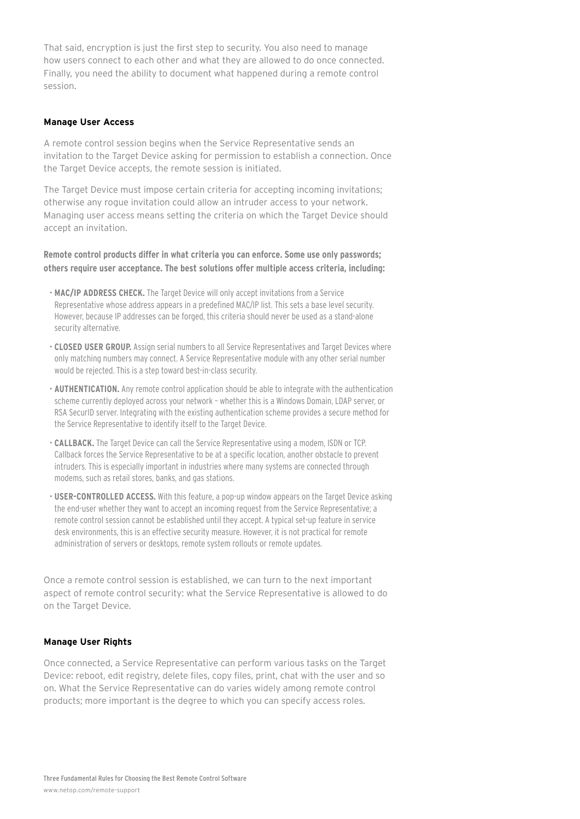That said, encryption is just the first step to security. You also need to manage how users connect to each other and what they are allowed to do once connected. Finally, you need the ability to document what happened during a remote control session.

#### **Manage User Access**

A remote control session begins when the Service Representative sends an invitation to the Target Device asking for permission to establish a connection. Once the Target Device accepts, the remote session is initiated.

The Target Device must impose certain criteria for accepting incoming invitations; otherwise any rogue invitation could allow an intruder access to your network. Managing user access means setting the criteria on which the Target Device should accept an invitation.

**Remote control products differ in what criteria you can enforce. Some use only passwords; others require user acceptance. The best solutions offer multiple access criteria, including:** 

- **MAC/IP Address Check.** The Target Device will only accept invitations from a Service Representative whose address appears in a predefined MAC/IP list. This sets a base level security. However, because IP addresses can be forged, this criteria should never be used as a stand-alone security alternative.
- **Closed User Group.** Assign serial numbers to all Service Representatives and Target Devices where only matching numbers may connect. A Service Representative module with any other serial number would be rejected. This is a step toward best-in-class security.
- **Authentication.** Any remote control application should be able to integrate with the authentication scheme currently deployed across your network – whether this is a Windows Domain, LDAP server, or RSA SecurID server. Integrating with the existing authentication scheme provides a secure method for the Service Representative to identify itself to the Target Device.
- **Callback.** The Target Device can call the Service Representative using a modem, ISDN or TCP. Callback forces the Service Representative to be at a specific location, another obstacle to prevent intruders. This is especially important in industries where many systems are connected through modems, such as retail stores, banks, and gas stations.
- **User-controlled Access.** With this feature, a pop-up window appears on the Target Device asking the end-user whether they want to accept an incoming request from the Service Representative; a remote control session cannot be established until they accept. A typical set-up feature in service desk environments, this is an effective security measure. However, it is not practical for remote administration of servers or desktops, remote system rollouts or remote updates.

Once a remote control session is established, we can turn to the next important aspect of remote control security: what the Service Representative is allowed to do on the Target Device.

#### **Manage User Rights**

Once connected, a Service Representative can perform various tasks on the Target Device: reboot, edit registry, delete files, copy files, print, chat with the user and so on. What the Service Representative can do varies widely among remote control products; more important is the degree to which you can specify access roles.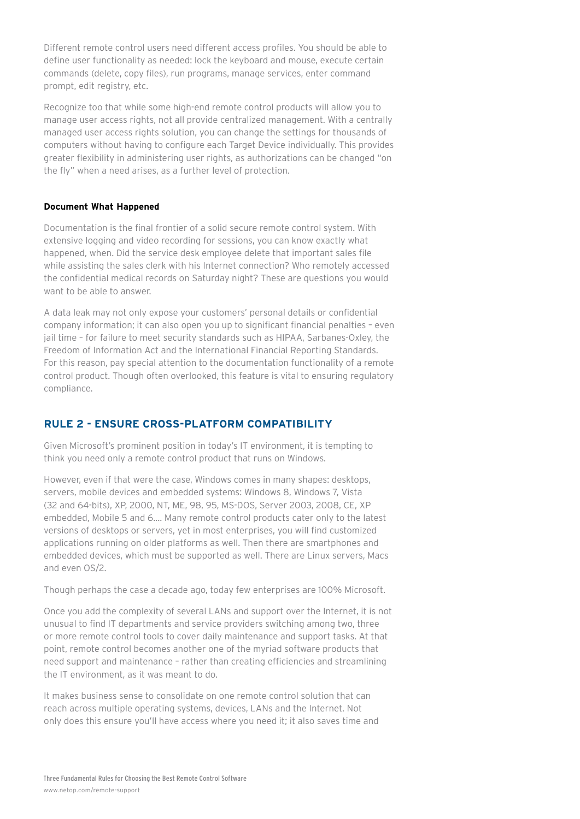Different remote control users need different access profiles. You should be able to define user functionality as needed: lock the keyboard and mouse, execute certain commands (delete, copy files), run programs, manage services, enter command prompt, edit registry, etc.

Recognize too that while some high-end remote control products will allow you to manage user access rights, not all provide centralized management. With a centrally managed user access rights solution, you can change the settings for thousands of computers without having to configure each Target Device individually. This provides greater flexibility in administering user rights, as authorizations can be changed "on the fly" when a need arises, as a further level of protection.

#### **Document What Happened**

Documentation is the final frontier of a solid secure remote control system. With extensive logging and video recording for sessions, you can know exactly what happened, when. Did the service desk employee delete that important sales file while assisting the sales clerk with his Internet connection? Who remotely accessed the confidential medical records on Saturday night? These are questions you would want to be able to answer.

A data leak may not only expose your customers' personal details or confidential company information; it can also open you up to significant financial penalties – even jail time – for failure to meet security standards such as HIPAA, Sarbanes-Oxley, the Freedom of Information Act and the International Financial Reporting Standards. For this reason, pay special attention to the documentation functionality of a remote control product. Though often overlooked, this feature is vital to ensuring regulatory compliance.

# **Rule 2 - Ensure Cross-Platform Compatibility**

Given Microsoft's prominent position in today's IT environment, it is tempting to think you need only a remote control product that runs on Windows.

However, even if that were the case, Windows comes in many shapes: desktops, servers, mobile devices and embedded systems: Windows 8, Windows 7, Vista (32 and 64-bits), XP, 2000, NT, ME, 98, 95, MS-DOS, Server 2003, 2008, CE, XP embedded, Mobile 5 and 6.... Many remote control products cater only to the latest versions of desktops or servers, yet in most enterprises, you will find customized applications running on older platforms as well. Then there are smartphones and embedded devices, which must be supported as well. There are Linux servers, Macs and even OS/2.

Though perhaps the case a decade ago, today few enterprises are 100% Microsoft.

Once you add the complexity of several LANs and support over the Internet, it is not unusual to find IT departments and service providers switching among two, three or more remote control tools to cover daily maintenance and support tasks. At that point, remote control becomes another one of the myriad software products that need support and maintenance – rather than creating efficiencies and streamlining the IT environment, as it was meant to do.

It makes business sense to consolidate on one remote control solution that can reach across multiple operating systems, devices, LANs and the Internet. Not only does this ensure you'll have access where you need it; it also saves time and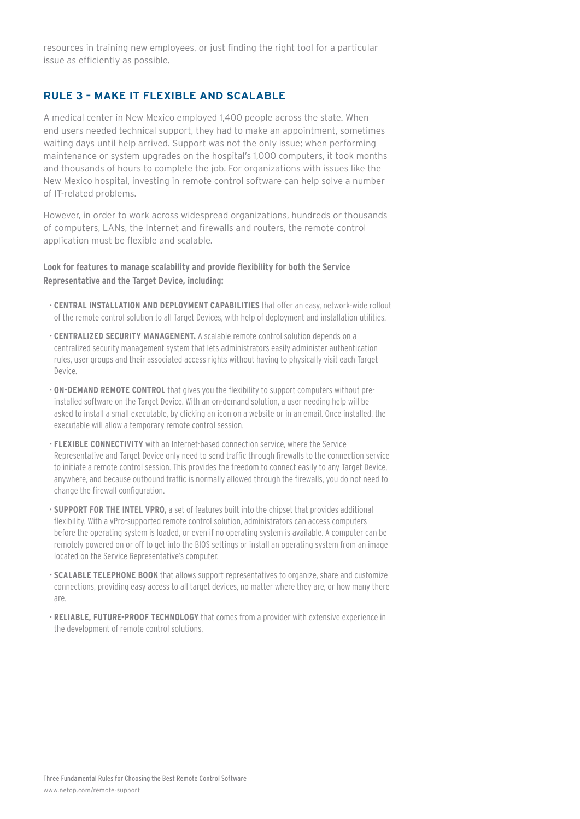resources in training new employees, or just finding the right tool for a particular issue as efficiently as possible.

# **Rule 3 – Make It Flexible and Scalable**

A medical center in New Mexico employed 1,400 people across the state. When end users needed technical support, they had to make an appointment, sometimes waiting days until help arrived. Support was not the only issue; when performing maintenance or system upgrades on the hospital's 1,000 computers, it took months and thousands of hours to complete the job. For organizations with issues like the New Mexico hospital, investing in remote control software can help solve a number of IT-related problems.

However, in order to work across widespread organizations, hundreds or thousands of computers, LANs, the Internet and firewalls and routers, the remote control application must be flexible and scalable.

#### **Look for features to manage scalability and provide flexibility for both the Service Representative and the Target Device, including:**

- **Central installation and deployment capabilities** that offer an easy, network-wide rollout of the remote control solution to all Target Devices, with help of deployment and installation utilities.
- **Centralized Security Management.** A scalable remote control solution depends on a centralized security management system that lets administrators easily administer authentication rules, user groups and their associated access rights without having to physically visit each Target Device.
- **ON-DEMAND REMOTE CONTROL** that gives you the flexibility to support computers without preinstalled software on the Target Device. With an on-demand solution, a user needing help will be asked to install a small executable, by clicking an icon on a website or in an email. Once installed, the executable will allow a temporary remote control session.
- **Flexible connectivity** with an Internet-based connection service, where the Service Representative and Target Device only need to send traffic through firewalls to the connection service to initiate a remote control session. This provides the freedom to connect easily to any Target Device, anywhere, and because outbound traffic is normally allowed through the firewalls, you do not need to change the firewall configuration.
- **Support for the Intel vPro,** a set of features built into the chipset that provides additional flexibility. With a vPro-supported remote control solution, administrators can access computers before the operating system is loaded, or even if no operating system is available. A computer can be remotely powered on or off to get into the BIOS settings or install an operating system from an image located on the Service Representative's computer.
- **Scalable telephone book** that allows support representatives to organize, share and customize connections, providing easy access to all target devices, no matter where they are, or how many there are.
- **Reliable, future-proof technology** that comes from a provider with extensive experience in the development of remote control solutions.